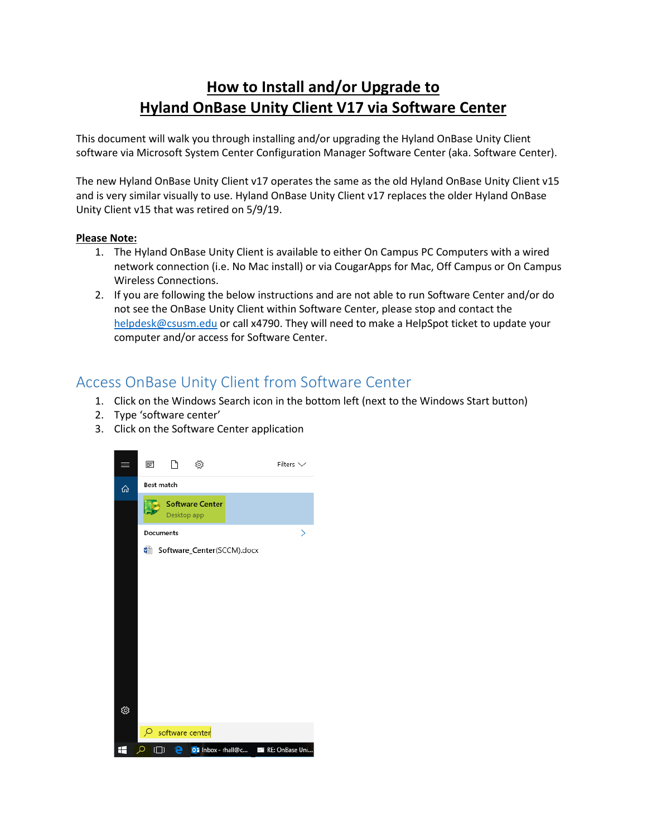## **How to Install and/or Upgrade to Hyland OnBase Unity Client V17 via Software Center**

This document will walk you through installing and/or upgrading the Hyland OnBase Unity Client software via Microsoft System Center Configuration Manager Software Center (aka. Software Center).

The new Hyland OnBase Unity Client v17 operates the same as the old Hyland OnBase Unity Client v15 and is very similar visually to use. Hyland OnBase Unity Client v17 replaces the older Hyland OnBase Unity Client v15 that was retired on 5/9/19.

## **Please Note:**

- 1. The Hyland OnBase Unity Client is available to either On Campus PC Computers with a wired network connection (i.e. No Mac install) or via CougarApps for Mac, Off Campus or On Campus Wireless Connections.
- 2. If you are following the below instructions and are not able to run Software Center and/or do not see the OnBase Unity Client within Software Center, please stop and contact the [helpdesk@csusm.edu](mailto:helpdesk@csusm.edu) or call x4790. They will need to make a HelpSpot ticket to update your computer and/or access for Software Center.

## Access OnBase Unity Client from Software Center

- 1. Click on the Windows Search icon in the bottom left (next to the Windows Start button)
- 2. Type 'software center'
- 3. Click on the Software Center application

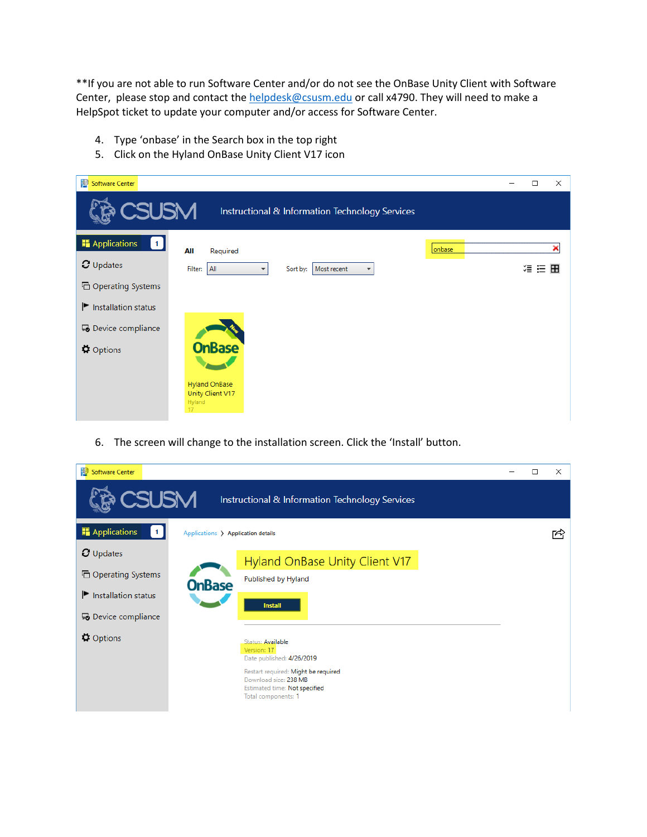\*\*If you are not able to run Software Center and/or do not see the OnBase Unity Client with Software Center, please stop and contact the [helpdesk@csusm.edu](mailto:helpdesk@csusm.edu) or call x4790. They will need to make a HelpSpot ticket to update your computer and/or access for Software Center.

- 4. Type 'onbase' in the Search box in the top right
- 5. Click on the Hyland OnBase Unity Client V17 icon

| р<br><b>Software Center</b>            |                                                                                               | □      | $\times$ |
|----------------------------------------|-----------------------------------------------------------------------------------------------|--------|----------|
| <b>CSUSM</b>                           | Instructional & Information Technology Services                                               |        |          |
| <b>Applications</b><br>$\vert 1 \vert$ | All<br>Required                                                                               | onbase | ×        |
| $C$ Updates                            | Filter: All<br>Most recent<br>Sort by:<br>$\overline{\phantom{a}}$<br>$\overline{\mathbf{v}}$ | 須 狂 田  |          |
| <b>品 Operating Systems</b>             |                                                                                               |        |          |
| Installation status                    |                                                                                               |        |          |
| 5 Device compliance                    |                                                                                               |        |          |
| <b><math>\Phi</math></b> Options       | <b>OnBase</b><br><b>Hyland OnBase</b>                                                         |        |          |
|                                        | Unity Client V17<br>Hyland<br>17                                                              |        |          |

6. The screen will change to the installation screen. Click the 'Install' button.

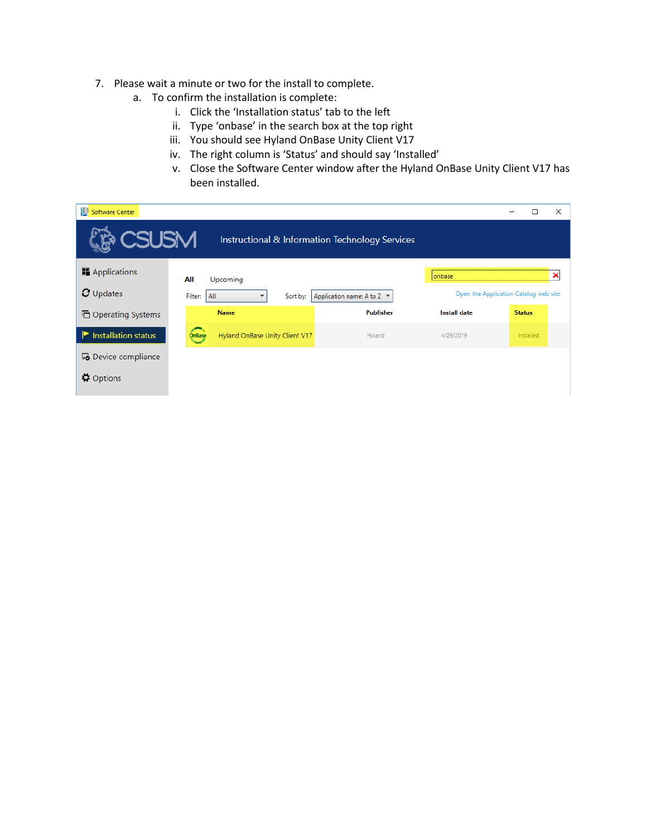- 7. Please wait a minute or two for the install to complete.
	- a. To confirm the installation is complete:
		- i. Click the 'Installation status' tab to the left
		- ii. Type 'onbase' in the search box at the top right
		- iii. You should see Hyland OnBase Unity Client V17
		- iv. The right column is 'Status' and should say 'Installed'
		- v. Close the Software Center window after the Hyland OnBase Unity Client V17 has been installed.

| P<br><b>Software Center</b>      |                                                          |                                |                                                 |                                       |               | $\times$ |
|----------------------------------|----------------------------------------------------------|--------------------------------|-------------------------------------------------|---------------------------------------|---------------|----------|
| CSUSM                            |                                                          |                                | Instructional & Information Technology Services |                                       |               |          |
| Applications                     | All                                                      | Upcoming                       |                                                 | onbase                                |               | ×        |
| $C$ Updates                      | Application name: A to Z ▼<br>Filter:<br>All<br>Sort by: |                                |                                                 | Open the Application Catalog web site |               |          |
| <b>h</b> Operating Systems       |                                                          | <b>Name</b>                    | <b>Publisher</b>                                | <b>Install date</b>                   | <b>Status</b> |          |
| Installation status              | <b>OnBase</b>                                            | Hyland OnBase Unity Client V17 | Hyland                                          | 4/29/2019                             | Installed     |          |
| 5 Device compliance              |                                                          |                                |                                                 |                                       |               |          |
| $\mathbf{\ddot{\Omega}}$ Options |                                                          |                                |                                                 |                                       |               |          |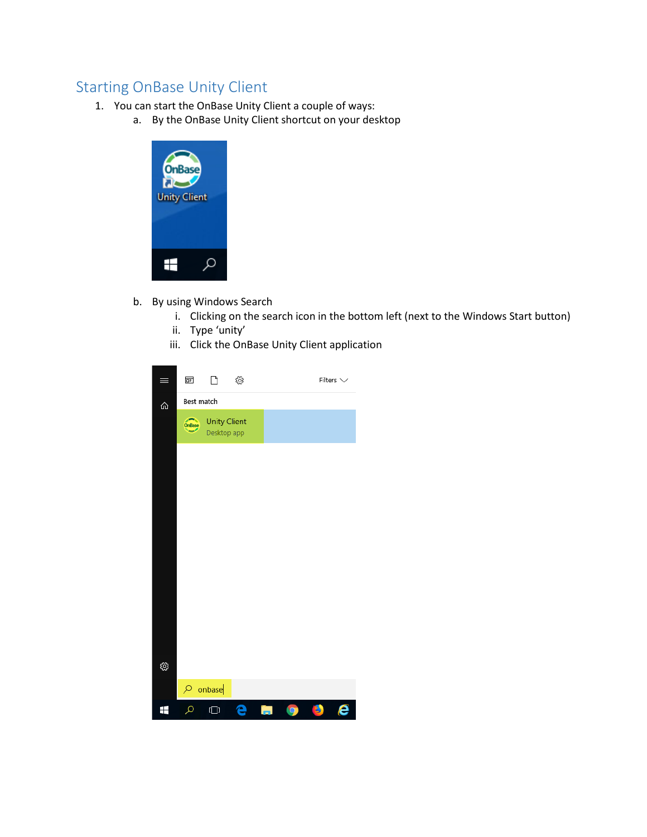## Starting OnBase Unity Client

- 1. You can start the OnBase Unity Client a couple of ways:
	- a. By the OnBase Unity Client shortcut on your desktop



- b. By using Windows Search
	- i. Clicking on the search icon in the bottom left (next to the Windows Start button)
	- ii. Type 'unity'
	- iii. Click the OnBase Unity Client application